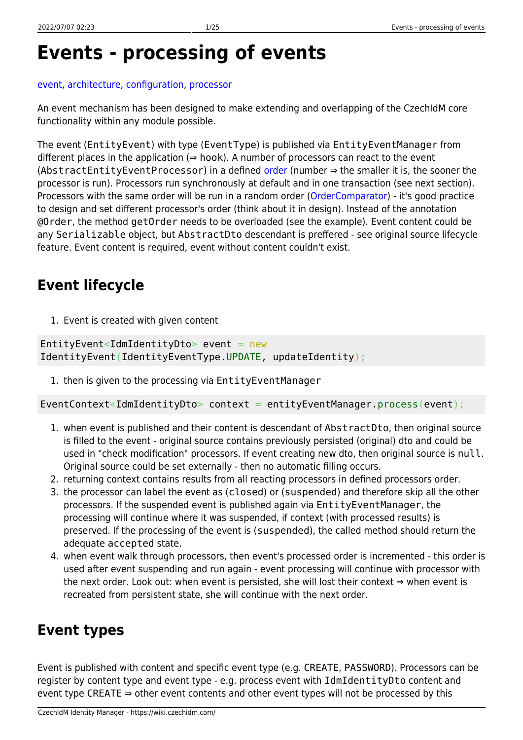# **Events - processing of events**

#### [event,](https://wiki.czechidm.com/tag/event?do=showtag&tag=event) [architecture](https://wiki.czechidm.com/tag/architecture?do=showtag&tag=architecture), [configuration](https://wiki.czechidm.com/tag/configuration?do=showtag&tag=configuration), [processor](https://wiki.czechidm.com/tag/processor?do=showtag&tag=processor)

An event mechanism has been designed to make extending and overlapping of the CzechIdM core functionality within any module possible.

The event (EntityEvent) with type (EventType) is published via EntityEventManager from different places in the application  $(\Rightarrow$  hook). A number of processors can react to the event (AbstractEntityEventProcessor) in a defined [order](http://docs.spring.io/spring/docs/current/javadoc-api/org/springframework/core/Ordered.html) (number ⇒ the smaller it is, the sooner the processor is run). Processors run synchronously at default and in one transaction (see next section). Processors with the same order will be run in a random order [\(OrderComparator\)](http://docs.spring.io/spring/docs/current/javadoc-api/org/springframework/core/OrderComparator.html) - it's good practice to design and set different processor's order (think about it in design). Instead of the annotation @Order, the method getOrder needs to be overloaded (see the example). Event content could be any Serializable object, but AbstractDto descendant is preffered - see original source lifecycle feature. Event content is required, event without content couldn't exist.

# **Event lifecycle**

1. Event is created with given content

EntityEvent<IdmIdentityDto> event =  $new$ IdentityEvent(IdentityEventType.UPDATE, updateIdentity);

1. then is given to the processing via EntityEventManager

EventContext<IdmIdentityDto> context = entityEventManager.process(event);

- 1. when event is published and their content is descendant of AbstractDto, then original source is filled to the event - original source contains previously persisted (original) dto and could be used in "check modification" processors. If event creating new dto, then original source is null. Original source could be set externally - then no automatic filling occurs.
- 2. returning context contains results from all reacting processors in defined processors order.
- 3. the processor can label the event as (closed) or (suspended) and therefore skip all the other processors. If the suspended event is published again via EntityEventManager, the processing will continue where it was suspended, if context (with processed results) is preserved. If the processing of the event is (suspended), the called method should return the adequate accepted state.
- 4. when event walk through processors, then event's processed order is incremented this order is used after event suspending and run again - event processing will continue with processor with the next order. Look out: when event is persisted, she will lost their context ⇒ when event is recreated from persistent state, she will continue with the next order.

# **Event types**

Event is published with content and specific event type (e.g. CREATE, PASSWORD). Processors can be register by content type and event type - e.g. process event with IdmIdentityDto content and event type CREATE ⇒ other event contents and other event types will not be processed by this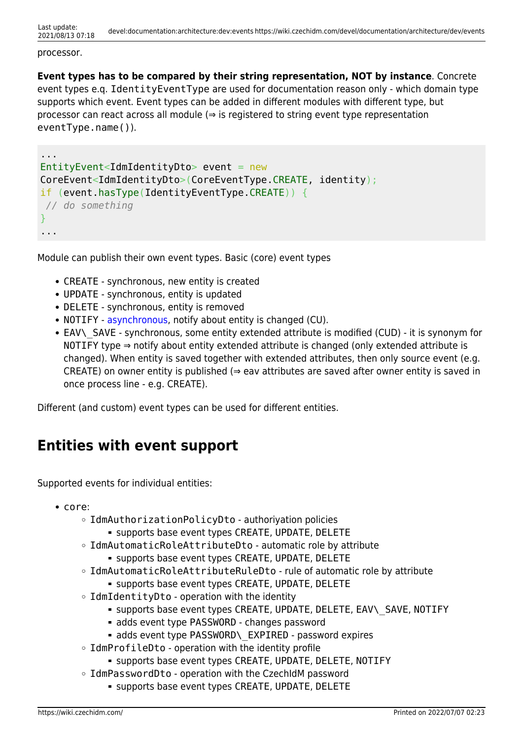#### processor.

**Event types has to be compared by their string representation, NOT by instance**. Concrete event types e.q. IdentityEventType are used for documentation reason only - which domain type supports which event. Event types can be added in different modules with different type, but processor can react across all module  $(\Rightarrow)$  is registered to string event type representation eventType.name()).

```
...
EntityEvent=IdmIdentityDto > event = newCoreEvent<IdmIdentityDto>(CoreEventType.CREATE, identity);
if (event.hasType(IdentityEventType.CREATE)) {
// do something
}
...
```
Module can publish their own event types. Basic (core) event types

- CREATE synchronous, new entity is created
- UPDATE synchronous, entity is updated
- DELETE synchronous, entity is removed
- NOTIFY - [asynchronous](#page-6-0), notify about entity is changed (CU).
- EAV\ SAVE synchronous, some entity extended attribute is modified (CUD) it is synonym for NOTIFY type  $\Rightarrow$  notify about entity extended attribute is changed (only extended attribute is changed). When entity is saved together with extended attributes, then only source event (e.g. CREATE) on owner entity is published ( $\Rightarrow$  eav attributes are saved after owner entity is saved in once process line - e.g. CREATE).

Different (and custom) event types can be used for different entities.

# **Entities with event support**

Supported events for individual entities:

- core:
	- IdmAuthorizationPolicyDto authoriyation policies
		- supports base event types CREATE, UPDATE, DELETE
	- IdmAutomaticRoleAttributeDto automatic role by attribute
		- supports base event types CREATE, UPDATE, DELETE
	- IdmAutomaticRoleAttributeRuleDto rule of automatic role by attribute
		- supports base event types CREATE, UPDATE, DELETE
	- $\circ$  IdmIdentityDto operation with the identity
		- supports base event types CREATE, UPDATE, DELETE, EAV\\_SAVE, NOTIFY
		- adds event type PASSWORD changes password
		- adds event type PASSWORD\\_EXPIRED password expires
	- o IdmProfileDto operation with the identity profile
		- supports base event types CREATE, UPDATE, DELETE, NOTIFY
	- IdmPasswordDto operation with the CzechIdM password
		- supports base event types CREATE, UPDATE, DELETE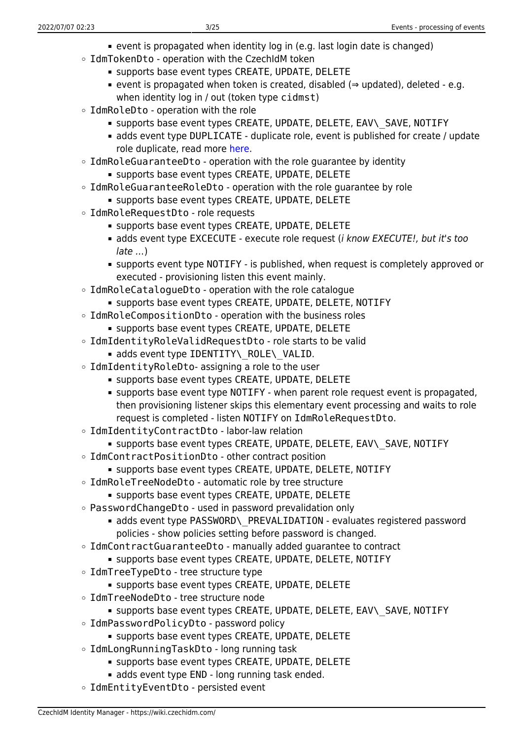- event is propagated when identity log in (e.g. last login date is changed)
- IdmTokenDto operation with the CzechIdM token
	- supports base event types CREATE, UPDATE, DELETE
	- event is propagated when token is created, disabled (⇒ updated), deleted e.g. when identity log in / out (token type cidmst)
- IdmRoleDto operation with the role
	- supports base event types CREATE, UPDATE, DELETE, EAV\\_SAVE, NOTIFY
	- adds event type DUPLICATE duplicate role, event is published for create / update role duplicate, read more [here.](https://wiki.czechidm.com/devel/documentation/roles/dev/duplicate-role)
- $\circ$  IdmRoleGuaranteeDto operation with the role quarantee by identity
	- supports base event types CREATE, UPDATE, DELETE
- IdmRoleGuaranteeRoleDto operation with the role quarantee by role
	- **supports base event types CREATE, UPDATE, DELETE**
- IdmRoleRequestDto role requests
	- **Supports base event types CREATE, UPDATE, DELETE**
	- adds event type EXCECUTE execute role request (*i know EXECUTE!, but it's too* late …)
	- supports event type NOTIFY is published, when request is completely approved or executed - provisioning listen this event mainly.
- IdmRoleCatalogueDto operation with the role catalogue
	- supports base event types CREATE, UPDATE, DELETE, NOTIFY
- IdmRoleCompositionDto operation with the business roles
	- supports base event types CREATE, UPDATE, DELETE
- IdmIdentityRoleValidRequestDto role starts to be valid
	- adds event type IDENTITY\\_ROLE\\_VALID.
- $\circ$  IdmIdentityRoleDto- assigning a role to the user
	- supports base event types CREATE, UPDATE, DELETE
	- supports base event type NOTIFY when parent role request event is propagated, then provisioning listener skips this elementary event processing and waits to role request is completed - listen NOTIFY on IdmRoleRequestDto.
- IdmIdentityContractDto labor-law relation
	- supports base event types CREATE, UPDATE, DELETE, EAV\\_SAVE, NOTIFY
- IdmContractPositionDto other contract position
	- supports base event types CREATE, UPDATE, DELETE, NOTIFY
- IdmRoleTreeNodeDto automatic role by tree structure
	- **SUPPORTS base event types CREATE, UPDATE, DELETE**
- PasswordChangeDto used in password prevalidation only
	- adds event type PASSWORD\ PREVALIDATION evaluates registered password policies - show policies setting before password is changed.
- $\circ$  IdmContractGuaranteeDto manually added quarantee to contract
	- supports base event types CREATE, UPDATE, DELETE, NOTIFY
- IdmTreeTypeDto tree structure type
	- supports base event types CREATE, UPDATE, DELETE
- IdmTreeNodeDto tree structure node
	- supports base event types CREATE, UPDATE, DELETE, EAV\ SAVE, NOTIFY
- IdmPasswordPolicyDto password policy
	- supports base event types CREATE, UPDATE, DELETE
- IdmLongRunningTaskDto long running task
	- supports base event types CREATE, UPDATE, DELETE
	- adds event type END long running task ended.
- IdmEntityEventDto persisted event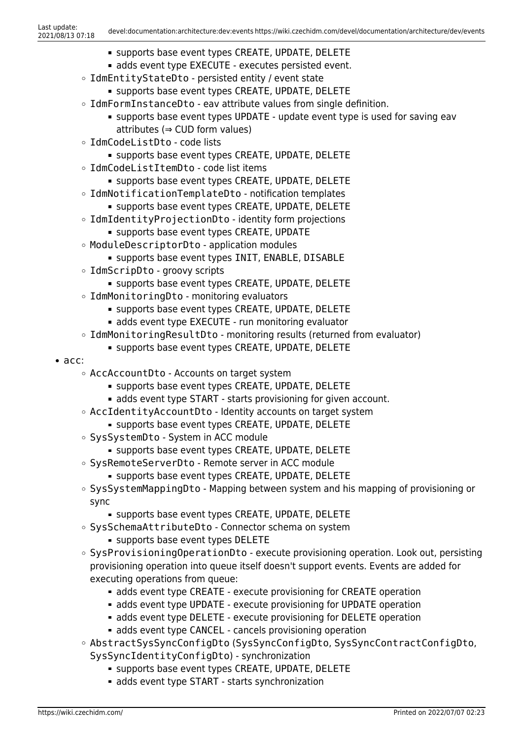- supports base event types CREATE, UPDATE, DELETE
- adds event type EXECUTE executes persisted event.
- o IdmEntityStateDto persisted entity / event state
	- supports base event types CREATE, UPDATE, DELETE
- IdmFormInstanceDto eav attribute values from single definition.
	- supports base event types UPDATE update event type is used for saving eav attributes (⇒ CUD form values)
- IdmCodeListDto code lists
	- supports base event types CREATE, UPDATE, DELETE
- IdmCodeListItemDto code list items
	- supports base event types CREATE, UPDATE, DELETE
- IdmNotificationTemplateDto notification templates
	- **SUPPORTS base event types CREATE, UPDATE, DELETE**
- IdmIdentityProjectionDto identity form projections
	- supports base event types CREATE, UPDATE
- ModuleDescriptorDto application modules
	- **Supports base event types INIT, ENABLE, DISABLE**
- IdmScripDto groovy scripts
	- **Supports base event types CREATE, UPDATE, DELETE**
- IdmMonitoringDto monitoring evaluators
	- supports base event types CREATE, UPDATE, DELETE
	- adds event type EXECUTE run monitoring evaluator
- IdmMonitoringResultDto monitoring results (returned from evaluator)
	- supports base event types CREATE, UPDATE, DELETE
- acc:
	- AccAccountDto Accounts on target system
		- supports base event types CREATE, UPDATE, DELETE
		- adds event type START starts provisioning for given account.
	- AccIdentityAccountDto Identity accounts on target system
		- supports base event types CREATE, UPDATE, DELETE
	- SysSystemDto System in ACC module
		- **SUPPORTS base event types CREATE, UPDATE, DELETE**
	- o SysRemoteServerDto Remote server in ACC module
		- **Supports base event types CREATE, UPDATE, DELETE**
	- SysSystemMappingDto Mapping between system and his mapping of provisioning or sync
		- supports base event types CREATE, UPDATE, DELETE
	- SysSchemaAttributeDto Connector schema on system
		- supports base event types DELETE
	- SysProvisioningOperationDto execute provisioning operation. Look out, persisting provisioning operation into queue itself doesn't support events. Events are added for executing operations from queue:
		- **adds event type CREATE execute provisioning for CREATE operation**
		- adds event type UPDATE execute provisioning for UPDATE operation
		- adds event type DELETE execute provisioning for DELETE operation
		- **adds event type CANCEL cancels provisioning operation**
	- AbstractSysSyncConfigDto (SysSyncConfigDto, SysSyncContractConfigDto, SysSyncIdentityConfigDto) - synchronization
		- **SUPPORTS base event types CREATE, UPDATE, DELETE**
		- adds event type START starts synchronization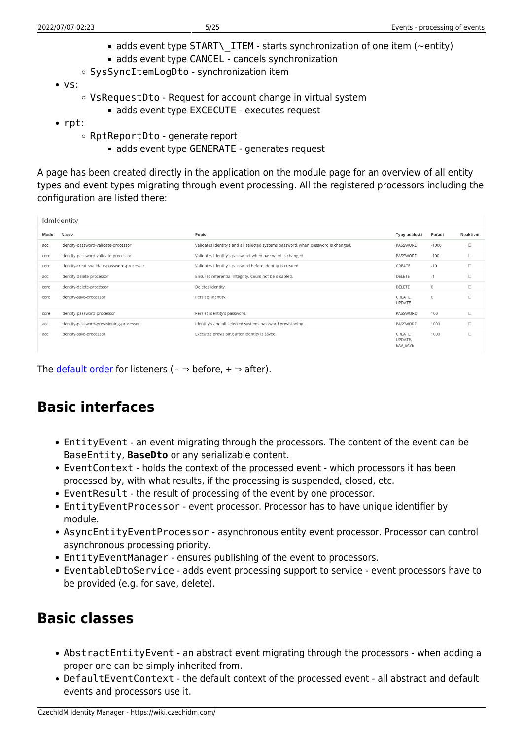- adds event type START\ ITEM starts synchronization of one item ( $\sim$ entity)
- adds event type CANCEL cancels synchronization
- SysSyncItemLogDto synchronization item
- $\bullet$  VS:
	- VsRequestDto Request for account change in virtual system
		- adds event type EXCECUTE executes request
- rpt:
	- RptReportDto generate report
		- adds event type GENERATE generates request

A page has been created directly in the application on the module page for an overview of all entity types and event types migrating through event processing. All the registered processors including the configuration are listed there:

| IdmIdentity |                                             |                                                                                   |                                |          |           |
|-------------|---------------------------------------------|-----------------------------------------------------------------------------------|--------------------------------|----------|-----------|
| Modul       | Název                                       | Popis                                                                             | Typy událostí                  | Pořadí   | Neaktivní |
| acc         | identity-password-validate-processor        | Validates identity's and all selected systems password, when password is changed. | PASSWORD                       | $-1000$  | $\Box$    |
| core        | identity-password-validate-processor        | Validates identity's password, when password is changed.                          | PASSWORD                       | $-100$   | $\Box$    |
| core        | identity-create-validate-password-processor | Validates identity's password before identity is created.                         | CREATE                         | $-10$    | $\Box$    |
| acc         | identity-delete-processor                   | Ensures referential integrity. Could not be disabled.                             | DELETE                         | $-1$     | $\Box$    |
| core        | identity-delete-processor                   | Deletes identity.                                                                 | DELETE                         | $\Omega$ | $\Box$    |
| core        | identity-save-processor                     | Persists identity.                                                                | CREATE.<br><b>UPDATE</b>       | $\Omega$ | $\Box$    |
| core        | identity-password-processor                 | Persist identity's password.                                                      | PASSWORD                       | 100      | $\Box$    |
| acc         | identity-password-provisioning-processor    | Identity's and all selected systems password provisioning.                        | PASSWORD                       | 1000     | $\Box$    |
| acc         | identity-save-processor                     | Executes provisioing after identity is saved.                                     | CREATE.<br>UPDATE.<br>EAV SAVE | 1000     | $\Box$    |

The [default order](#page-9-0) for listeners ( $- \Rightarrow$  before,  $+ \Rightarrow$  after).

# **Basic interfaces**

- EntityEvent an event migrating through the processors. The content of the event can be BaseEntity, **BaseDto** or any serializable content.
- EventContext holds the context of the processed event which processors it has been processed by, with what results, if the processing is suspended, closed, etc.
- EventResult the result of processing of the event by one processor.
- EntityEventProcessor event processor. Processor has to have unique identifier by module.
- AsyncEntityEventProcessor asynchronous entity event processor. Processor can control asynchronous processing priority.
- EntityEventManager ensures publishing of the event to processors.
- EventableDtoService adds event processing support to service event processors have to be provided (e.g. for save, delete).

# **Basic classes**

- AbstractEntityEvent an abstract event migrating through the processors when adding a proper one can be simply inherited from.
- DefaultEventContext the default context of the processed event all abstract and default events and processors use it.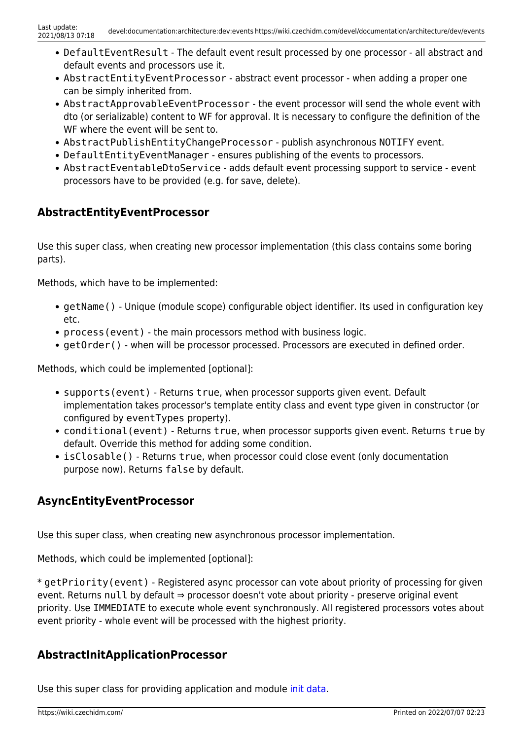- DefaultEventResult The default event result processed by one processor all abstract and default events and processors use it.
- AbstractEntityEventProcessor abstract event processor when adding a proper one can be simply inherited from.
- AbstractApprovableEventProcessor the event processor will send the whole event with dto (or serializable) content to WF for approval. It is necessary to configure the definition of the WF where the event will be sent to.
- AbstractPublishEntityChangeProcessor publish asynchronous NOTIFY event.
- DefaultEntityEventManager ensures publishing of the events to processors.
- AbstractEventableDtoService adds default event processing support to service event processors have to be provided (e.g. for save, delete).

## **AbstractEntityEventProcessor**

Use this super class, when creating new processor implementation (this class contains some boring parts).

Methods, which have to be implemented:

- getName() Unique (module scope) configurable object identifier. Its used in configuration key etc.
- process (event) the main processors method with business logic.
- getOrder() when will be processor processed. Processors are executed in defined order.

Methods, which could be implemented [optional]:

- supports(event) Returns true, when processor supports given event. Default implementation takes processor's template entity class and event type given in constructor (or configured by eventTypes property).
- conditional(event) Returns true, when processor supports given event. Returns true by default. Override this method for adding some condition.
- isClosable() Returns true, when processor could close event (only documentation purpose now). Returns false by default.

## <span id="page-5-0"></span>**AsyncEntityEventProcessor**

Use this super class, when creating new asynchronous processor implementation.

Methods, which could be implemented [optional]:

\* getPriority(event) - Registered async processor can vote about priority of processing for given event. Returns null by default ⇒ processor doesn't vote about priority - preserve original event priority. Use IMMEDIATE to execute whole event synchronously. All registered processors votes about event priority - whole event will be processed with the highest priority.

## **AbstractInitApplicationProcessor**

Use this super class for providing application and module [init data](https://wiki.czechidm.com/devel/documentation/architecture/dev/events/init-data).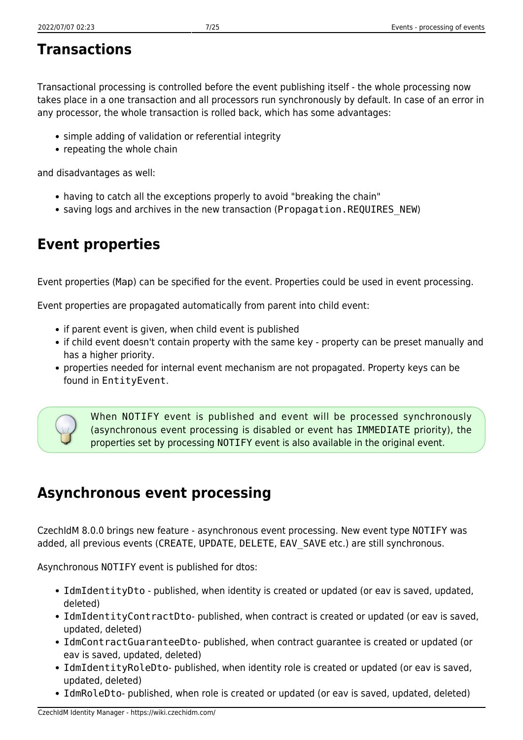# **Transactions**

Transactional processing is controlled before the event publishing itself - the whole processing now takes place in a one transaction and all processors run synchronously by default. In case of an error in any processor, the whole transaction is rolled back, which has some advantages:

- simple adding of validation or referential integrity
- repeating the whole chain

and disadvantages as well:

- having to catch all the exceptions properly to avoid "breaking the chain"
- saving logs and archives in the new transaction (Propagation.REQUIRES\_NEW)

# **Event properties**

Event properties (Map) can be specified for the event. Properties could be used in event processing.

Event properties are propagated automatically from parent into child event:

- if parent event is given, when child event is published
- if child event doesn't contain property with the same key property can be preset manually and has a higher priority.
- properties needed for internal event mechanism are not propagated. Property keys can be found in EntityEvent.



When NOTIFY event is published and event will be processed synchronously (asynchronous event processing is disabled or event has IMMEDIATE priority), the properties set by processing NOTIFY event is also available in the original event.

# <span id="page-6-0"></span>**Asynchronous event processing**

CzechIdM 8.0.0 brings new feature - asynchronous event processing. New event type NOTIFY was added, all previous events (CREATE, UPDATE, DELETE, EAV SAVE etc.) are still synchronous.

Asynchronous NOTIFY event is published for dtos:

- IdmIdentityDto published, when identity is created or updated (or eav is saved, updated, deleted)
- IdmIdentityContractDto- published, when contract is created or updated (or eav is saved, updated, deleted)
- IdmContractGuaranteeDto- published, when contract guarantee is created or updated (or eav is saved, updated, deleted)
- IdmIdentityRoleDto- published, when identity role is created or updated (or eav is saved, updated, deleted)
- IdmRoleDto- published, when role is created or updated (or eav is saved, updated, deleted)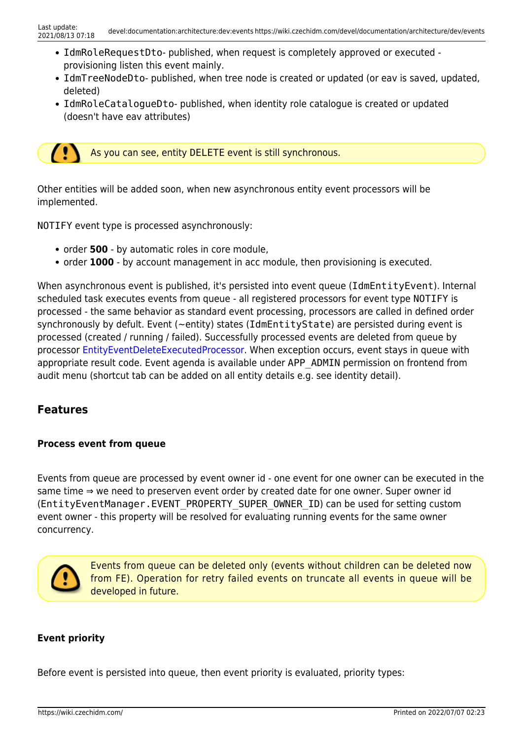- IdmRoleRequestDto- published, when request is completely approved or executed provisioning listen this event mainly.
- IdmTreeNodeDto- published, when tree node is created or updated (or eav is saved, updated, deleted)
- IdmRoleCatalogueDto- published, when identity role catalogue is created or updated (doesn't have eav attributes)

As you can see, entity DELETE event is still synchronous.

Other entities will be added soon, when new asynchronous entity event processors will be implemented.

NOTIFY event type is processed asynchronously:

- order **500** by automatic roles in core module.
- order **1000** by account management in acc module, then provisioning is executed.

When asynchronous event is published, it's persisted into event queue (IdmEntityEvent). Internal scheduled task executes events from queue - all registered processors for event type NOTIFY is processed - the same behavior as standard event processing, processors are called in defined order synchronously by defult. Event (~entity) states (IdmEntityState) are persisted during event is processed (created / running / failed). Successfully processed events are deleted from queue by processor [EntityEventDeleteExecutedProcessor](#page-14-0). When exception occurs, event stays in queue with appropriate result code. Event agenda is available under APP\_ADMIN permission on frontend from audit menu (shortcut tab can be added on all entity details e.g. see identity detail).

### **Features**

 $\overline{\mathcal{L}}$ 

#### **Process event from queue**

Events from queue are processed by event owner id - one event for one owner can be executed in the same time ⇒ we need to preserven event order by created date for one owner. Super owner id (EntityEventManager.EVENT\_PROPERTY\_SUPER\_OWNER\_ID) can be used for setting custom event owner - this property will be resolved for evaluating running events for the same owner concurrency.



Events from queue can be deleted only (events without children can be deleted now from FE). Operation for retry failed events on truncate all events in queue will be developed in future.

#### **Event priority**

Before event is persisted into queue, then event priority is evaluated, priority types: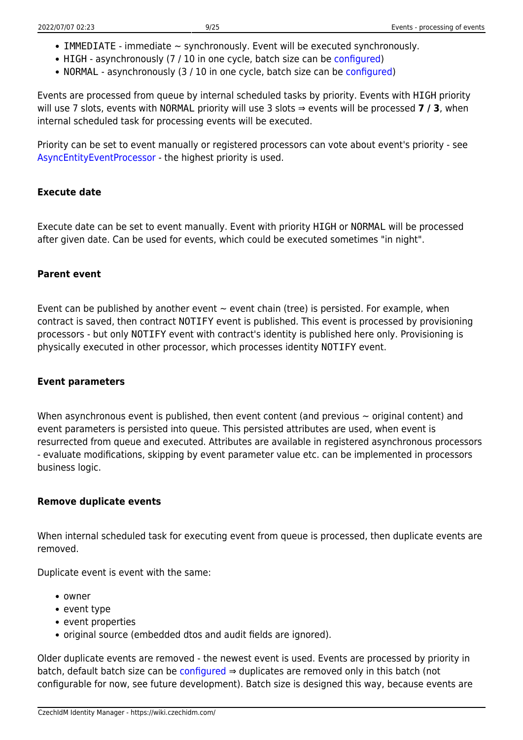- $\bullet$  IMMEDIATE immediate  $\sim$  synchronously. Event will be executed synchronously.
- HIGH asynchronously (7 / 10 in one cycle, batch size can be [configured\)](https://wiki.czechidm.com/devel/documentation/application_configuration/dev/backend#entity_events)
- NORMAL asynchronously (3 / 10 in one cycle, batch size can be [configured\)](https://wiki.czechidm.com/devel/documentation/application_configuration/dev/backend#entity_events)

Events are processed from queue by internal scheduled tasks by priority. Events with HIGH priority will use 7 slots, events with NORMAL priority will use 3 slots ⇒ events will be processed **7 / 3**, when internal scheduled task for processing events will be executed.

Priority can be set to event manually or registered processors can vote about event's priority - see [AsyncEntityEventProcessor](#page-5-0) - the highest priority is used.

### **Execute date**

Execute date can be set to event manually. Event with priority HIGH or NORMAL will be processed after given date. Can be used for events, which could be executed sometimes "in night".

#### **Parent event**

Event can be published by another event  $\sim$  event chain (tree) is persisted. For example, when contract is saved, then contract NOTIFY event is published. This event is processed by provisioning processors - but only NOTIFY event with contract's identity is published here only. Provisioning is physically executed in other processor, which processes identity NOTIFY event.

#### **Event parameters**

When asynchronous event is published, then event content (and previous  $\sim$  original content) and event parameters is persisted into queue. This persisted attributes are used, when event is resurrected from queue and executed. Attributes are available in registered asynchronous processors - evaluate modifications, skipping by event parameter value etc. can be implemented in processors business logic.

#### **Remove duplicate events**

When internal scheduled task for executing event from queue is processed, then duplicate events are removed.

Duplicate event is event with the same:

- owner
- event type
- event properties
- original source (embedded dtos and audit fields are ignored).

Older duplicate events are removed - the newest event is used. Events are processed by priority in batch, default batch size can be [configured](https://wiki.czechidm.com/devel/documentation/application_configuration/dev/backend#entity_events)  $\Rightarrow$  duplicates are removed only in this batch (not configurable for now, see future development). Batch size is designed this way, because events are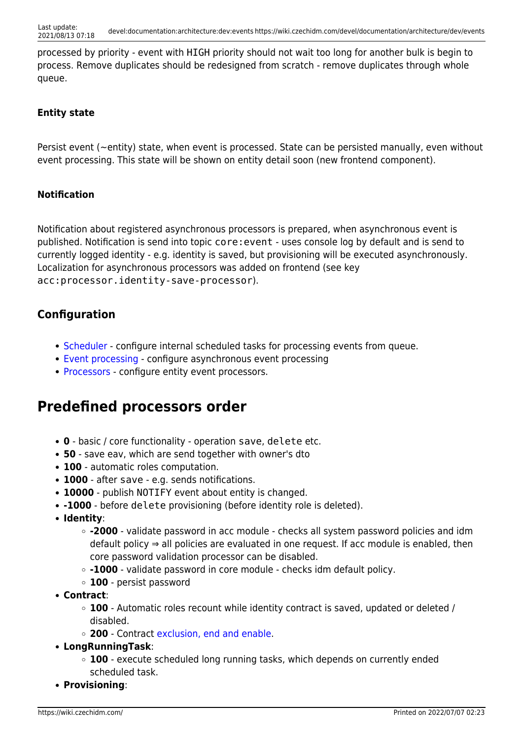processed by priority - event with HIGH priority should not wait too long for another bulk is begin to process. Remove duplicates should be redesigned from scratch - remove duplicates through whole queue.

### **Entity state**

Persist event (~entity) state, when event is processed. State can be persisted manually, even without event processing. This state will be shown on entity detail soon (new frontend component).

### **Notification**

Notification about registered asynchronous processors is prepared, when asynchronous event is published. Notification is send into topic core:event - uses console log by default and is send to currently logged identity - e.g. identity is saved, but provisioning will be executed asynchronously. Localization for asynchronous processors was added on frontend (see key acc:processor.identity-save-processor).

## **Configuration**

- [Scheduler](https://wiki.czechidm.com/devel/documentation/application_configuration/dev/backend#scheduler) configure internal scheduled tasks for processing events from queue.
- [Event processing](https://wiki.czechidm.com/devel/documentation/application_configuration/dev/backend#entity_events)  configure asynchronous event processing
- [Processors](#page-14-1)  configure entity event processors.

# <span id="page-9-0"></span>**Predefined processors order**

- **0** basic / core functionality operation save, delete etc.
- **50** save eav, which are send together with owner's dto
- **100** automatic roles computation.
- **1000** after save e.g. sends notifications.
- **10000** publish NOTIFY event about entity is changed.
- **-1000** before delete provisioning (before identity role is deleted).
- **Identity**:
	- **-2000** validate password in acc module checks all system password policies and idm default policy ⇒ all policies are evaluated in one request. If acc module is enabled, then core password validation processor can be disabled.
	- **-1000** validate password in core module checks idm default policy.
	- **100** persist password
- **Contract**:
	- **100** Automatic roles recount while identity contract is saved, updated or deleted / disabled.
	- **200** Contract [exclusion, end and enable.](https://wiki.czechidm.com/devel/documentation/identities/dev/contractual-relationship#invalid_cr)
- **LongRunningTask**:
	- **100** execute scheduled long running tasks, which depends on currently ended scheduled task.
- **Provisioning**: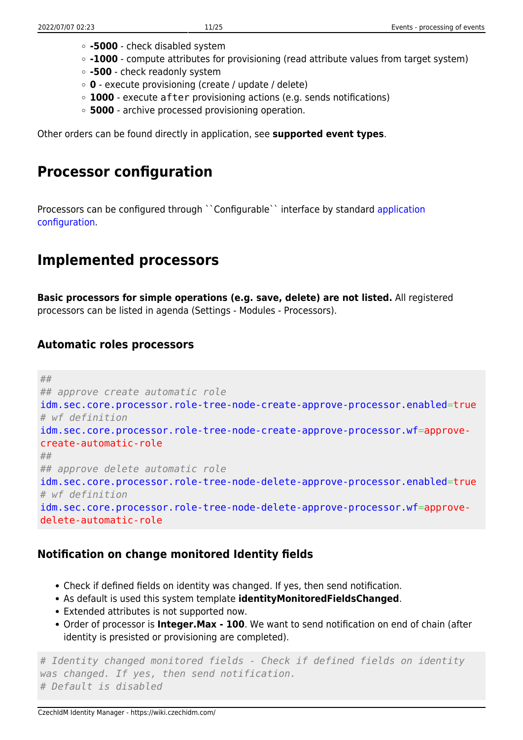- **-5000** check disabled system
- **-1000** compute attributes for provisioning (read attribute values from target system)
- **-500** check readonly system
- **0** execute provisioning (create / update / delete)
- **1000** execute after provisioning actions (e.g. sends notifications)
- **5000** archive processed provisioning operation.

Other orders can be found directly in application, see **supported event types**.

# **Processor configuration**

Processors can be configured through ``Configurable`` interface by standard [application](https://wiki.czechidm.com/devel/documentation/application_configuration/dev/backend#entity_event_processors) [configuration](https://wiki.czechidm.com/devel/documentation/application_configuration/dev/backend#entity_event_processors).

# **Implemented processors**

**Basic processors for simple operations (e.g. save, delete) are not listed.** All registered processors can be listed in agenda (Settings - Modules - Processors).

## **Automatic roles processors**

```
##
## approve create automatic role
idm.sec.core.processor.role-tree-node-create-approve-processor.enabled=true
# wf definition
idm.sec.core.processor.role-tree-node-create-approve-processor.wf=approve-
create-automatic-role
##
## approve delete automatic role
idm.sec.core.processor.role-tree-node-delete-approve-processor.enabled=true
# wf definition
idm.sec.core.processor.role-tree-node-delete-approve-processor.wf=approve-
delete-automatic-role
```
## **Notification on change monitored Identity fields**

- Check if defined fields on identity was changed. If yes, then send notification.
- As default is used this system template **identityMonitoredFieldsChanged**.
- Extended attributes is not supported now.
- Order of processor is **Integer.Max 100**. We want to send notification on end of chain (after identity is presisted or provisioning are completed).

```
# Identity changed monitored fields - Check if defined fields on identity
was changed. If yes, then send notification.
# Default is disabled
```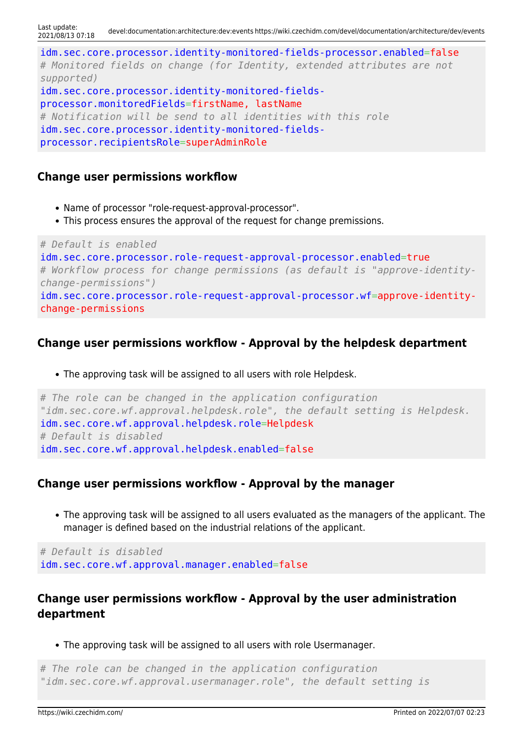idm.sec.core.processor.identity-monitored-fields-processor.enabled=false *# Monitored fields on change (for Identity, extended attributes are not supported)* idm.sec.core.processor.identity-monitored-fieldsprocessor.monitoredFields=firstName, lastName *# Notification will be send to all identities with this role* idm.sec.core.processor.identity-monitored-fieldsprocessor.recipientsRole=superAdminRole

### **Change user permissions workflow**

- Name of processor "role-request-approval-processor".
- This process ensures the approval of the request for change premissions.

```
# Default is enabled
idm.sec.core.processor.role-request-approval-processor.enabled=true
# Workflow process for change permissions (as default is "approve-identity-
change-permissions")
idm.sec.core.processor.role-request-approval-processor.wf=approve-identity-
change-permissions
```
## **Change user permissions workflow - Approval by the helpdesk department**

The approving task will be assigned to all users with role Helpdesk.

```
# The role can be changed in the application configuration
"idm.sec.core.wf.approval.helpdesk.role", the default setting is Helpdesk.
idm.sec.core.wf.approval.helpdesk.role=Helpdesk
# Default is disabled
idm.sec.core.wf.approval.helpdesk.enabled=false
```
### **Change user permissions workflow - Approval by the manager**

The approving task will be assigned to all users evaluated as the managers of the applicant. The manager is defined based on the industrial relations of the applicant.

*# Default is disabled* idm.sec.core.wf.approval.manager.enabled=false

## **Change user permissions workflow - Approval by the user administration department**

The approving task will be assigned to all users with role Usermanager.

```
# The role can be changed in the application configuration
"idm.sec.core.wf.approval.usermanager.role", the default setting is
```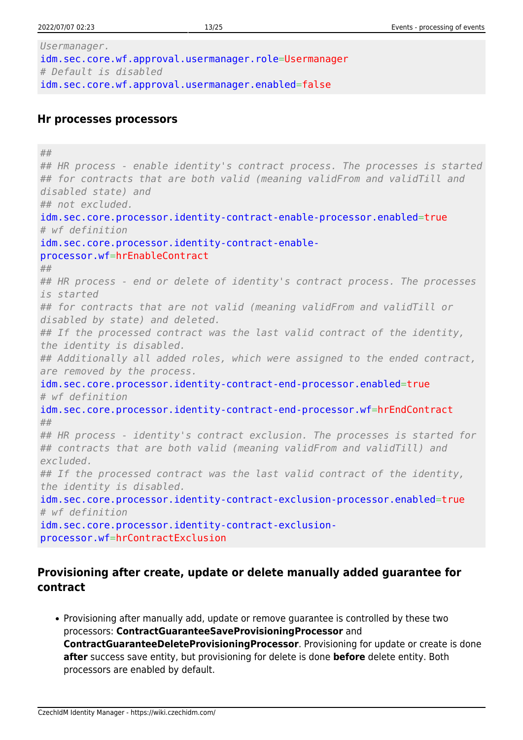*Usermanager.* idm.sec.core.wf.approval.usermanager.role=Usermanager *# Default is disabled* idm.sec.core.wf.approval.usermanager.enabled=false

#### **Hr processes processors**

*## ## HR process - enable identity's contract process. The processes is started ## for contracts that are both valid (meaning validFrom and validTill and disabled state) and ## not excluded.* idm.sec.core.processor.identity-contract-enable-processor.enabled=true *# wf definition* idm.sec.core.processor.identity-contract-enableprocessor.wf=hrEnableContract *## ## HR process - end or delete of identity's contract process. The processes is started ## for contracts that are not valid (meaning validFrom and validTill or disabled by state) and deleted. ## If the processed contract was the last valid contract of the identity, the identity is disabled. ## Additionally all added roles, which were assigned to the ended contract, are removed by the process.* idm.sec.core.processor.identity-contract-end-processor.enabled=true *# wf definition* idm.sec.core.processor.identity-contract-end-processor.wf=hrEndContract *## ## HR process - identity's contract exclusion. The processes is started for ## contracts that are both valid (meaning validFrom and validTill) and excluded. ## If the processed contract was the last valid contract of the identity, the identity is disabled.* idm.sec.core.processor.identity-contract-exclusion-processor.enabled=true *# wf definition* idm.sec.core.processor.identity-contract-exclusionprocessor.wf=hrContractExclusion

## **Provisioning after create, update or delete manually added guarantee for contract**

Provisioning after manually add, update or remove guarantee is controlled by these two processors: **ContractGuaranteeSaveProvisioningProcessor** and **ContractGuaranteeDeleteProvisioningProcessor**. Provisioning for update or create is done **after** success save entity, but provisioning for delete is done **before** delete entity. Both processors are enabled by default.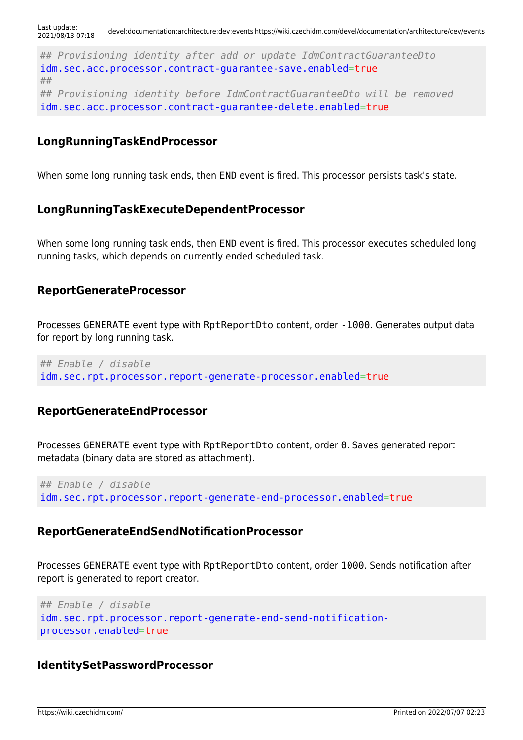*## Provisioning identity after add or update IdmContractGuaranteeDto* idm.sec.acc.processor.contract-guarantee-save.enabled=true *## ## Provisioning identity before IdmContractGuaranteeDto will be removed* idm.sec.acc.processor.contract-guarantee-delete.enabled=true

### **LongRunningTaskEndProcessor**

When some long running task ends, then END event is fired. This processor persists task's state.

### **LongRunningTaskExecuteDependentProcessor**

When some long running task ends, then END event is fired. This processor executes scheduled long running tasks, which depends on currently ended scheduled task.

#### **ReportGenerateProcessor**

Processes GENERATE event type with RptReportDto content, order -1000. Generates output data for report by long running task.

*## Enable / disable* idm.sec.rpt.processor.report-generate-processor.enabled=true

#### **ReportGenerateEndProcessor**

Processes GENERATE event type with RptReportDto content, order 0. Saves generated report metadata (binary data are stored as attachment).

*## Enable / disable* idm.sec.rpt.processor.report-generate-end-processor.enabled=true

#### **ReportGenerateEndSendNotificationProcessor**

Processes GENERATE event type with RptReportDto content, order 1000. Sends notification after report is generated to report creator.

```
## Enable / disable
idm.sec.rpt.processor.report-generate-end-send-notification-
processor.enabled=true
```
#### **IdentitySetPasswordProcessor**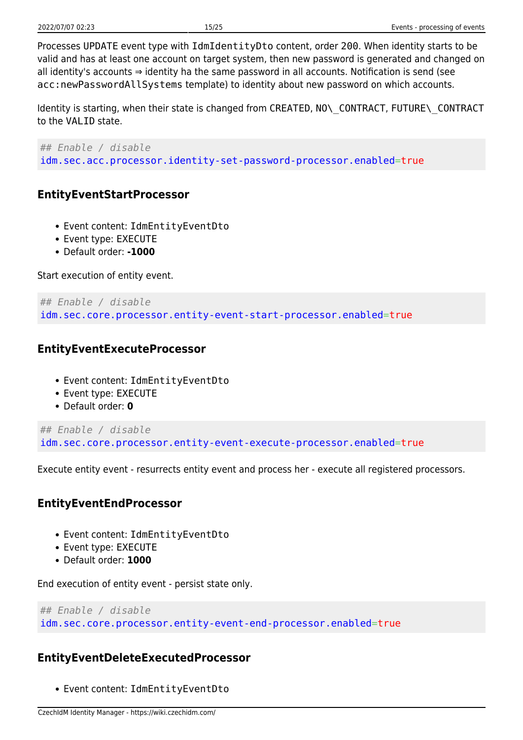Processes UPDATE event type with IdmIdentityDto content, order 200. When identity starts to be valid and has at least one account on target system, then new password is generated and changed on all identity's accounts ⇒ identity ha the same password in all accounts. Notification is send (see acc:newPasswordAllSystems template) to identity about new password on which accounts.

Identity is starting, when their state is changed from CREATED, NO\\_CONTRACT, FUTURE\\_CONTRACT to the VALID state.

*## Enable / disable* idm.sec.acc.processor.identity-set-password-processor.enabled=true

## <span id="page-14-1"></span>**EntityEventStartProcessor**

- Event content: IdmEntityEventDto
- Event type: EXECUTE
- Default order: **-1000**

Start execution of entity event.

```
## Enable / disable
idm.sec.core.processor.entity-event-start-processor.enabled=true
```
### **EntityEventExecuteProcessor**

- Event content: IdmEntityEventDto
- Event type: EXECUTE
- Default order: **0**

```
## Enable / disable
idm.sec.core.processor.entity-event-execute-processor.enabled=true
```
Execute entity event - resurrects entity event and process her - execute all registered processors.

### **EntityEventEndProcessor**

- Event content: IdmEntityEventDto
- Event type: EXECUTE
- Default order: **1000**

End execution of entity event - persist state only.

```
## Enable / disable
idm.sec.core.processor.entity-event-end-processor.enabled=true
```
### <span id="page-14-0"></span>**EntityEventDeleteExecutedProcessor**

Event content: IdmEntityEventDto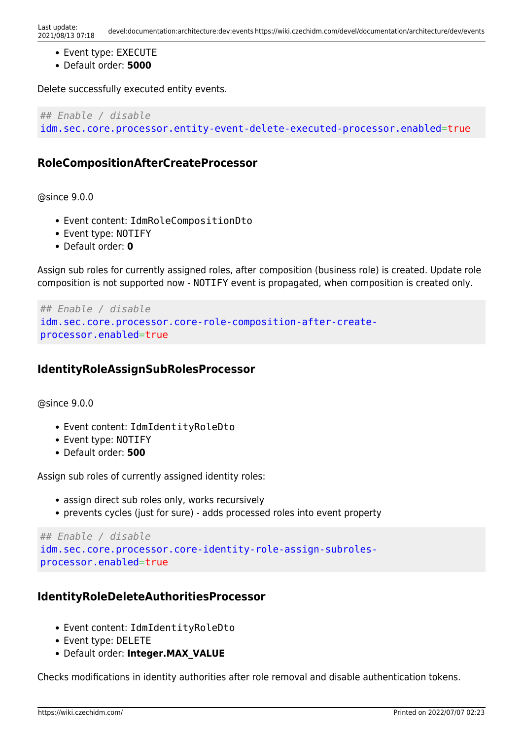- Event type: EXECUTE
- Default order: **5000**

Delete successfully executed entity events.

*## Enable / disable* idm.sec.core.processor.entity-event-delete-executed-processor.enabled=true

### **RoleCompositionAfterCreateProcessor**

@since 9.0.0

- Event content: IdmRoleCompositionDto
- Event type: NOTIFY
- Default order: **0**

Assign sub roles for currently assigned roles, after composition (business role) is created. Update role composition is not supported now - NOTIFY event is propagated, when composition is created only.

```
## Enable / disable
idm.sec.core.processor.core-role-composition-after-create-
processor.enabled=true
```
## **IdentityRoleAssignSubRolesProcessor**

@since 9.0.0

- Event content: IdmIdentityRoleDto
- Event type: NOTIFY
- Default order: **500**

Assign sub roles of currently assigned identity roles:

- assign direct sub roles only, works recursively
- prevents cycles (just for sure) adds processed roles into event property

```
## Enable / disable
idm.sec.core.processor.core-identity-role-assign-subroles-
processor.enabled=true
```
### **IdentityRoleDeleteAuthoritiesProcessor**

- Event content: IdmIdentityRoleDto
- Event type: DELETE
- Default order: **Integer.MAX\_VALUE**

Checks modifications in identity authorities after role removal and disable authentication tokens.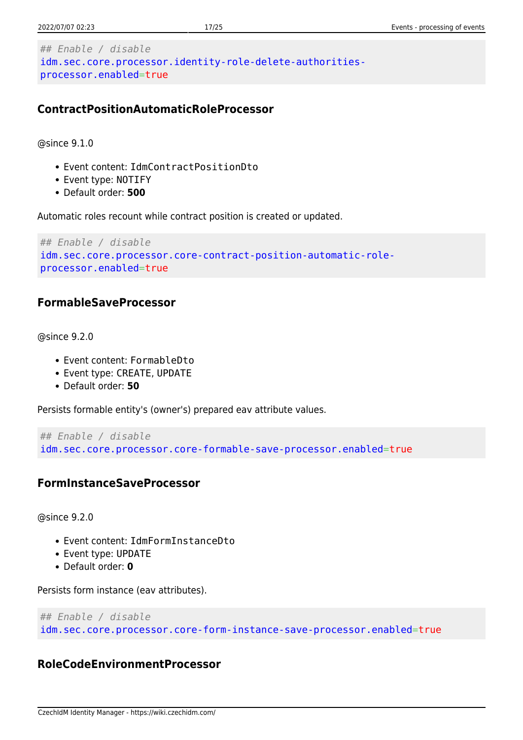```
## Enable / disable
idm.sec.core.processor.identity-role-delete-authorities-
processor.enabled=true
```
## **ContractPositionAutomaticRoleProcessor**

@since 9.1.0

- Event content: IdmContractPositionDto
- Event type: NOTIFY
- Default order: **500**

Automatic roles recount while contract position is created or updated.

```
## Enable / disable
idm.sec.core.processor.core-contract-position-automatic-role-
processor.enabled=true
```
## **FormableSaveProcessor**

@since 9.2.0

- Event content: FormableDto
- Event type: CREATE, UPDATE
- Default order: **50**

Persists formable entity's (owner's) prepared eav attribute values.

```
## Enable / disable
idm.sec.core.processor.core-formable-save-processor.enabled=true
```
## **FormInstanceSaveProcessor**

@since 9.2.0

- Event content: IdmFormInstanceDto
- Event type: UPDATE
- Default order: **0**

Persists form instance (eav attributes).

```
## Enable / disable
idm.sec.core.processor.core-form-instance-save-processor.enabled=true
```
## **RoleCodeEnvironmentProcessor**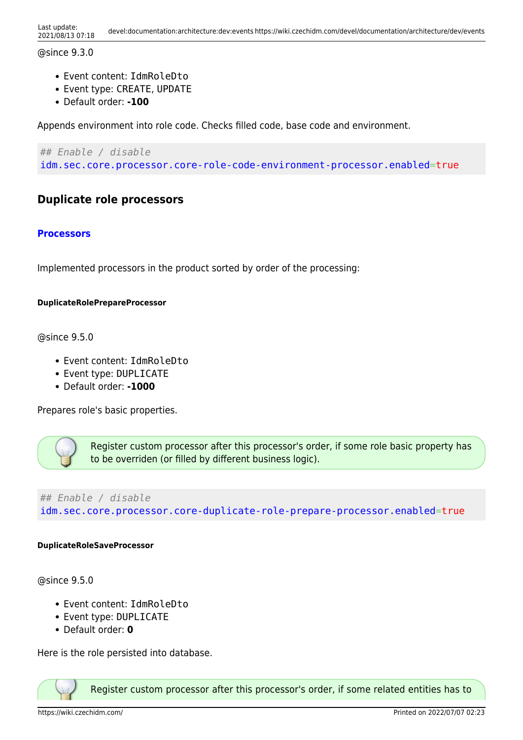#### @since 9.3.0

- Event content: IdmRoleDto
- Event type: CREATE, UPDATE
- Default order: **-100**

Appends environment into role code. Checks filled code, base code and environment.

*## Enable / disable* idm.sec.core.processor.core-role-code-environment-processor.enabled=true

### **Duplicate role processors**

#### **[Processors](https://wiki.czechidm.com/devel/documentation/roles/dev/duplicate-role#processors)**

Implemented processors in the product sorted by order of the processing:

#### **DuplicateRolePrepareProcessor**

@since 9.5.0

- Event content: IdmRoleDto
- Event type: DUPLICATE
- Default order: **-1000**

Prepares role's basic properties.



Register custom processor after this processor's order, if some role basic property has to be overriden (or filled by different business logic).

*## Enable / disable* idm.sec.core.processor.core-duplicate-role-prepare-processor.enabled=true

#### **DuplicateRoleSaveProcessor**

@since 9.5.0

- Event content: IdmRoleDto
- Event type: DUPLICATE
- Default order: **0**

Here is the role persisted into database.



Register custom processor after this processor's order, if some related entities has to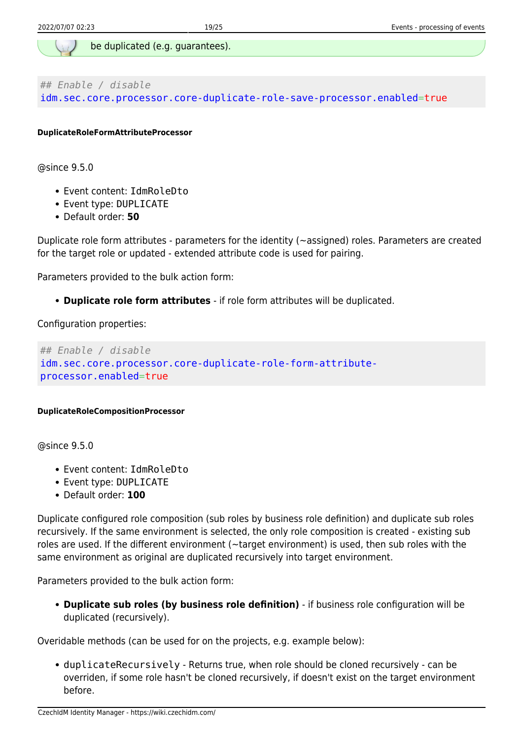

*## Enable / disable* idm.sec.core.processor.core-duplicate-role-save-processor.enabled=true

**DuplicateRoleFormAttributeProcessor**

@since 9.5.0

- Event content: IdmRoleDto
- Event type: DUPLICATE
- Default order: **50**

Duplicate role form attributes - parameters for the identity (~assigned) roles. Parameters are created for the target role or updated - extended attribute code is used for pairing.

Parameters provided to the bulk action form:

**Duplicate role form attributes** - if role form attributes will be duplicated.

Configuration properties:

```
## Enable / disable
idm.sec.core.processor.core-duplicate-role-form-attribute-
processor.enabled=true
```
#### **DuplicateRoleCompositionProcessor**

@since 9.5.0

- Event content: IdmRoleDto
- Event type: DUPLICATE
- Default order: **100**

Duplicate configured role composition (sub roles by business role definition) and duplicate sub roles recursively. If the same environment is selected, the only role composition is created - existing sub roles are used. If the different environment (~target environment) is used, then sub roles with the same environment as original are duplicated recursively into target environment.

Parameters provided to the bulk action form:

**Duplicate sub roles (by business role definition)** - if business role configuration will be duplicated (recursively).

Overidable methods (can be used for on the projects, e.g. example below):

duplicateRecursively - Returns true, when role should be cloned recursively - can be overriden, if some role hasn't be cloned recursively, if doesn't exist on the target environment before.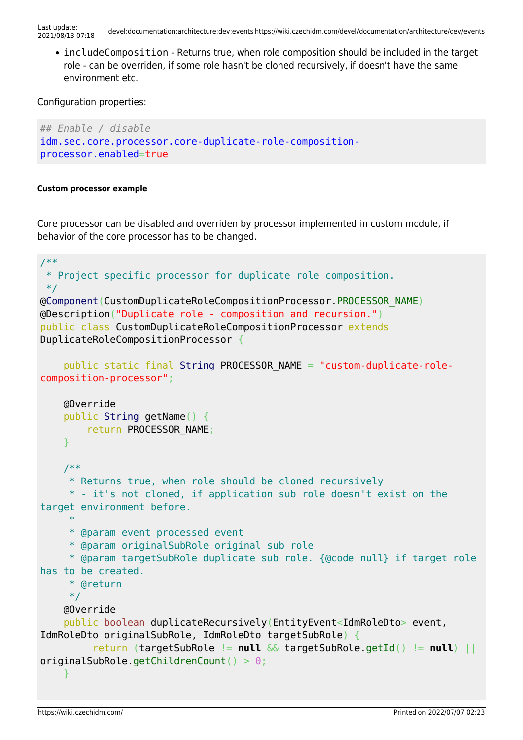• includeComposition - Returns true, when role composition should be included in the target role - can be overriden, if some role hasn't be cloned recursively, if doesn't have the same environment etc.

Configuration properties:

```
## Enable / disable
idm.sec.core.processor.core-duplicate-role-composition-
processor.enabled=true
```
#### **Custom processor example**

Core processor can be disabled and overriden by processor implemented in custom module, if behavior of the core processor has to be changed.

```
/**
  * Project specific processor for duplicate role composition.
  */
@Component(CustomDuplicateRoleCompositionProcessor.PROCESSOR_NAME)
@Description("Duplicate role - composition and recursion.")
public class CustomDuplicateRoleCompositionProcessor extends
DuplicateRoleCompositionProcessor {
     public static final String PROCESSOR_NAME = "custom-duplicate-role-
composition-processor";
     @Override
     public String getName() {
         return PROCESSOR_NAME;
     }
     /**
      * Returns true, when role should be cloned recursively
      * - it's not cloned, if application sub role doesn't exist on the
target environment before.
 *
      * @param event processed event
      * @param originalSubRole original sub role
      * @param targetSubRole duplicate sub role. {@code null} if target role
has to be created.
      * @return
      */
     @Override
     public boolean duplicateRecursively(EntityEvent<IdmRoleDto> event,
IdmRoleDto originalSubRole, IdmRoleDto targetSubRole) {
          return (targetSubRole != null && targetSubRole.getId() != null) ||
originalSubRole.getChildrenCount() > 0;
     }
```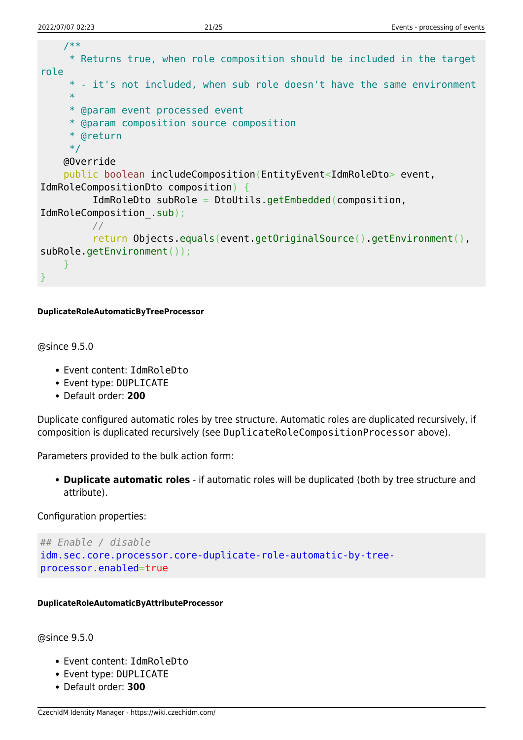```
 /**
      * Returns true, when role composition should be included in the target
role
      * - it's not included, when sub role doesn't have the same environment
 *
      * @param event processed event
      * @param composition source composition
      * @return
      */
     @Override
     public boolean includeComposition(EntityEvent<IdmRoleDto> event,
IdmRoleCompositionDto composition) {
          IdmRoleDto subRole = DtoUtils.getEmbedded(composition,
IdmRoleComposition_.sub);
          //
          return Objects.equals(event.getOriginalSource().getEnvironment(),
subRole.getEnvironment());
     }
}
```
#### **DuplicateRoleAutomaticByTreeProcessor**

@since 9.5.0

- Event content: IdmRoleDto
- Event type: DUPLICATE
- Default order: **200**

Duplicate configured automatic roles by tree structure. Automatic roles are duplicated recursively, if composition is duplicated recursively (see DuplicateRoleCompositionProcessor above).

Parameters provided to the bulk action form:

**Duplicate automatic roles** - if automatic roles will be duplicated (both by tree structure and attribute).

Configuration properties:

```
## Enable / disable
idm.sec.core.processor.core-duplicate-role-automatic-by-tree-
processor.enabled=true
```
**DuplicateRoleAutomaticByAttributeProcessor**

@since 9.5.0

- Event content: IdmRoleDto
- Event type: DUPLICATE
- Default order: **300**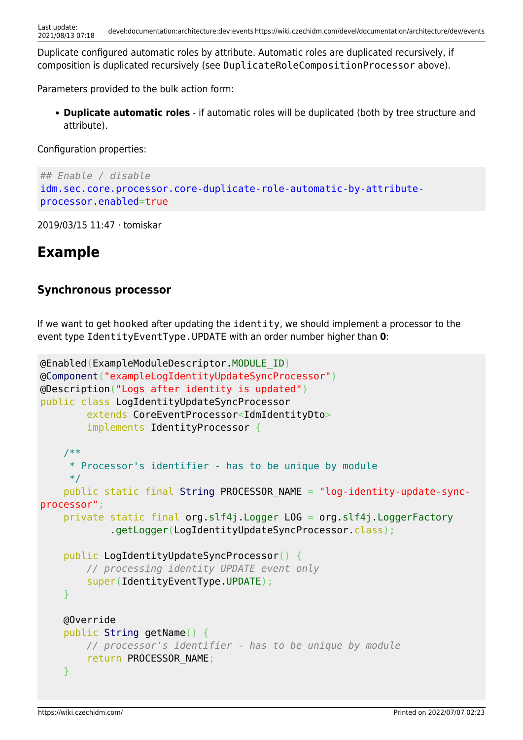Duplicate configured automatic roles by attribute. Automatic roles are duplicated recursively, if composition is duplicated recursively (see DuplicateRoleCompositionProcessor above).

Parameters provided to the bulk action form:

**Duplicate automatic roles** - if automatic roles will be duplicated (both by tree structure and attribute).

Configuration properties:

```
## Enable / disable
idm.sec.core.processor.core-duplicate-role-automatic-by-attribute-
processor.enabled=true
```
2019/03/15 11:47 · tomiskar

# **Example**

## **Synchronous processor**

If we want to get hooked after updating the identity, we should implement a processor to the event type IdentityEventType.UPDATE with an order number higher than **0**:

```
@Enabled(ExampleModuleDescriptor.MODULE_ID)
@Component("exampleLogIdentityUpdateSyncProcessor")
@Description("Logs after identity is updated")
public class LogIdentityUpdateSyncProcessor
         extends CoreEventProcessor<IdmIdentityDto>
         implements IdentityProcessor {
     /**
      * Processor's identifier - has to be unique by module
      */
     public static final String PROCESSOR_NAME = "log-identity-update-sync-
processor";
     private static final org.slf4j.Logger LOG = org.slf4j.LoggerFactory
             .getLogger(LogIdentityUpdateSyncProcessor.class);
     public LogIdentityUpdateSyncProcessor() {
         // processing identity UPDATE event only
         super(IdentityEventType.UPDATE);
     }
     @Override
     public String getName() {
         // processor's identifier - has to be unique by module
         return PROCESSOR_NAME;
     }
```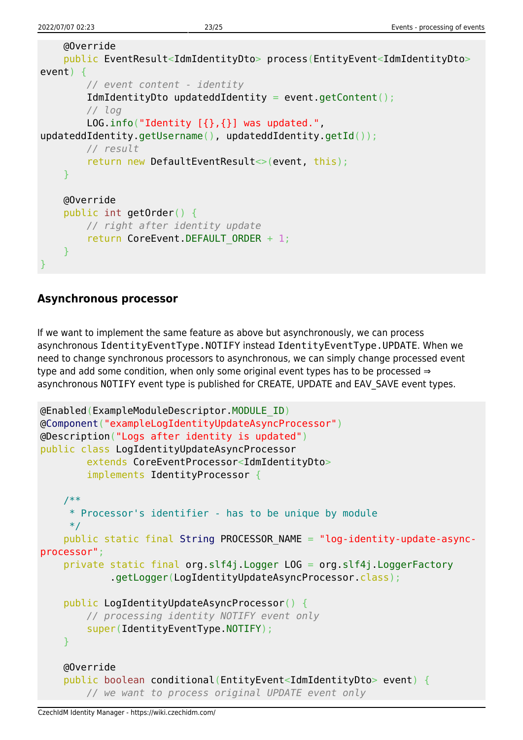```
 @Override
     public EventResult<IdmIdentityDto> process(EntityEvent<IdmIdentityDto>
event) {
         // event content - identity
         IdmIdentityDto updateddIdentity = event.getContent();
         // log
        LOG.info("Identity [{}, {}] was updated.",
updateddIdentity.getUsername(), updateddIdentity.getId());
         // result
         return new DefaultEventResult<>(event, this);
     }
     @Override
     public int getOrder() {
         // right after identity update
         return CoreEvent.DEFAULT_ORDER + 1;
     }
}
```
### **Asynchronous processor**

If we want to implement the same feature as above but asynchronously, we can process asynchronous IdentityEventType.NOTIFY instead IdentityEventType.UPDATE. When we need to change synchronous processors to asynchronous, we can simply change processed event type and add some condition, when only some original event types has to be processed ⇒ asynchronous NOTIFY event type is published for CREATE, UPDATE and EAV SAVE event types.

```
@Enabled(ExampleModuleDescriptor.MODULE_ID)
@Component("exampleLogIdentityUpdateAsyncProcessor")
@Description("Logs after identity is updated")
public class LogIdentityUpdateAsyncProcessor
         extends CoreEventProcessor<IdmIdentityDto>
         implements IdentityProcessor {
     /**
      * Processor's identifier - has to be unique by module
      */
     public static final String PROCESSOR_NAME = "log-identity-update-async-
processor";
     private static final org.slf4j.Logger LOG = org.slf4j.LoggerFactory
             .getLogger(LogIdentityUpdateAsyncProcessor.class);
     public LogIdentityUpdateAsyncProcessor() {
         // processing identity NOTIFY event only
         super(IdentityEventType.NOTIFY);
     }
     @Override
     public boolean conditional(EntityEvent<IdmIdentityDto> event) {
         // we want to process original UPDATE event only
```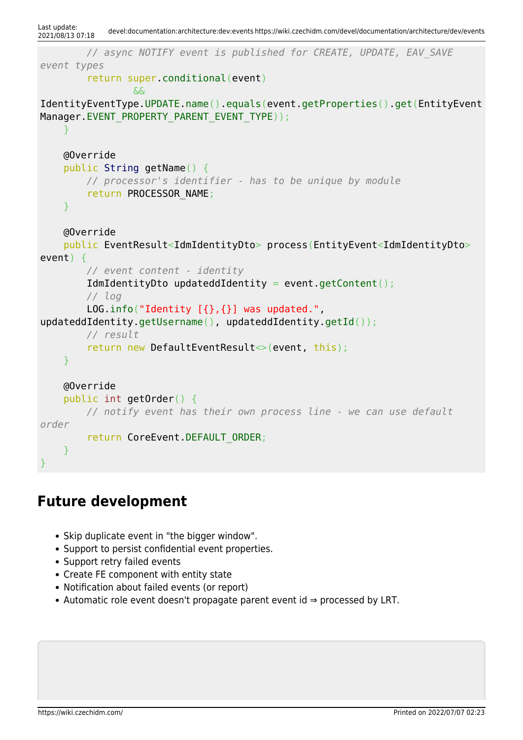```
Last update:<br>2021/08/13 07:18
            2021/08/13 07:18 devel:documentation:architecture:dev:events https://wiki.czechidm.com/devel/documentation/architecture/dev/events
          // async NOTIFY event is published for CREATE, UPDATE, EAV_SAVE
event types
          return super.conditional(event)
                   &&
IdentityEventType.UPDATE.name().equals(event.getProperties().get(EntityEvent
Manager.EVENT_PROPERTY_PARENT_EVENT_TYPE));
      }
     @Override
     public String getName() {
          // processor's identifier - has to be unique by module
          return PROCESSOR_NAME;
      }
     @Override
     public EventResult<IdmIdentityDto> process(EntityEvent<IdmIdentityDto>
event) {
          // event content - identity
          IdmIdentityDto updateddIdentity = event.getContent();
          // log
         LOG.info("Identity [{}, {}] was updated.",
updateddIdentity.getUsername(), updateddIdentity.getId());
          // result
          return new DefaultEventResult<>(event, this);
      }
     @Override
      public int getOrder() {
          // notify event has their own process line - we can use default
order
          return CoreEvent.DEFAULT_ORDER;
      }
}
```
# **Future development**

- Skip duplicate event in "the bigger window".
- Support to persist confidential event properties.
- Support retry failed events
- Create FE component with entity state
- Notification about failed events (or report)
- Automatic role event doesn't propagate parent event id ⇒ processed by LRT.